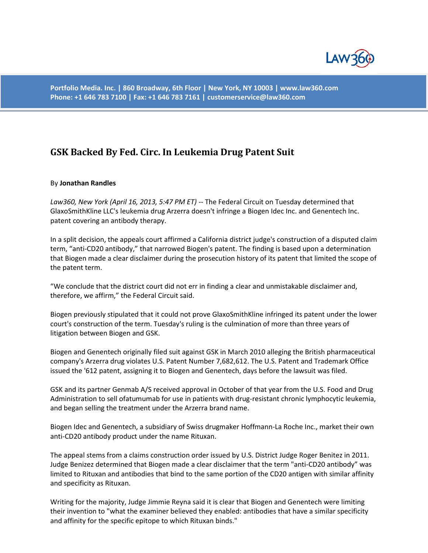

**Portfolio Media. Inc. | 860 Broadway, 6th Floor | New York, NY 10003 | www.law360.com Phone: +1 646 783 7100 | Fax: +1 646 783 7161 | customerservice@law360.com**

## **GSK Backed By Fed. Circ. In Leukemia Drug Patent Suit**

## By **Jonathan Randles**

*Law360, New York (April 16, 2013, 5:47 PM ET)* -- The Federal Circuit on Tuesday determined that GlaxoSmithKline LLC's leukemia drug Arzerra doesn't infringe a Biogen Idec Inc. and Genentech Inc. patent covering an antibody therapy.

In a split decision, the appeals court affirmed a California district judge's construction of a disputed claim term, "anti-CD20 antibody," that narrowed Biogen's patent. The finding is based upon a determination that Biogen made a clear disclaimer during the prosecution history of its patent that limited the scope of the patent term.

"We conclude that the district court did not err in finding a clear and unmistakable disclaimer and, therefore, we affirm," the Federal Circuit said.

Biogen previously stipulated that it could not prove GlaxoSmithKline infringed its patent under the lower court's construction of the term. Tuesday's ruling is the culmination of more than three years of litigation between Biogen and GSK.

Biogen and Genentech originally filed suit against GSK in March 2010 alleging the British pharmaceutical company's Arzerra drug violates U.S. Patent Number 7,682,612. The U.S. Patent and Trademark Office issued the '612 patent, assigning it to Biogen and Genentech, days before the lawsuit was filed.

GSK and its partner Genmab A/S received approval in October of that year from the U.S. Food and Drug Administration to sell ofatumumab for use in patients with drug-resistant chronic lymphocytic leukemia, and began selling the treatment under the Arzerra brand name.

Biogen Idec and Genentech, a subsidiary of Swiss drugmaker Hoffmann-La Roche Inc., market their own anti-CD20 antibody product under the name Rituxan.

The appeal stems from a claims construction order issued by U.S. District Judge Roger Benitez in 2011. Judge Benizez determined that Biogen made a clear disclaimer that the term "anti-CD20 antibody" was limited to Rituxan and antibodies that bind to the same portion of the CD20 antigen with similar affinity and specificity as Rituxan.

Writing for the majority, Judge Jimmie Reyna said it is clear that Biogen and Genentech were limiting their invention to "what the examiner believed they enabled: antibodies that have a similar specificity and affinity for the specific epitope to which Rituxan binds."